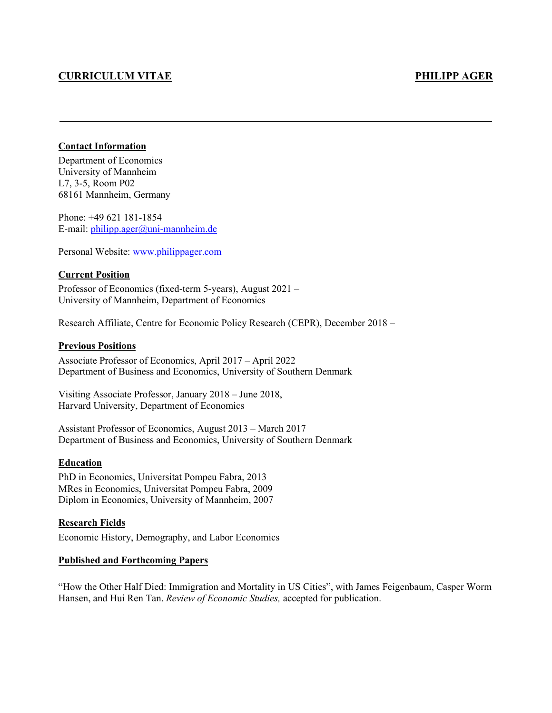# **CURRICULUM VITAE PHILIPP AGER**

## **Contact Information**

Department of Economics University of Mannheim L7, 3-5, Room P02 68161 Mannheim, Germany

Phone: +49 621 181-1854 E-mail: [philipp.ager@uni-mannheim.de](mailto:philipp.ager@uni-mannheim.de)

Personal Website: [www.philippager.com](http://www.philippager.com/)

#### **Current Position**

Professor of Economics (fixed-term 5-years), August 2021 – University of Mannheim, Department of Economics

Research Affiliate, Centre for Economic Policy Research (CEPR), December 2018 –

#### **Previous Positions**

Associate Professor of Economics, April 2017 – April 2022 Department of Business and Economics, University of Southern Denmark

Visiting Associate Professor, January 2018 – June 2018, Harvard University, Department of Economics

Assistant Professor of Economics, August 2013 – March 2017 Department of Business and Economics, University of Southern Denmark

#### **Education**

PhD in Economics, Universitat Pompeu Fabra, 2013 MRes in Economics, Universitat Pompeu Fabra, 2009 Diplom in Economics, University of Mannheim, 2007

#### **Research Fields**

Economic History, Demography, and Labor Economics

#### **Published and Forthcoming Papers**

"How the Other Half Died: Immigration and Mortality in US Cities", with James Feigenbaum, Casper Worm Hansen, and Hui Ren Tan. *Review of Economic Studies,* accepted for publication.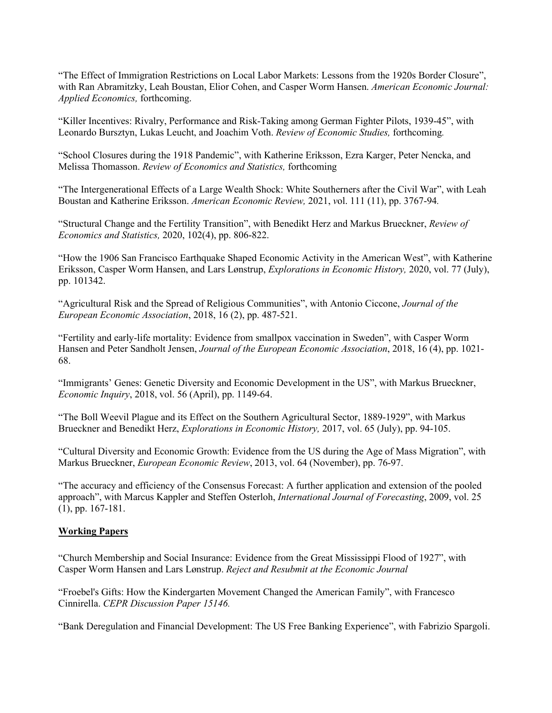"The Effect of Immigration Restrictions on Local Labor Markets: Lessons from the 1920s Border Closure", with Ran Abramitzky, Leah Boustan, Elior Cohen, and Casper Worm Hansen. *American Economic Journal: Applied Economics,* forthcoming.

"Killer Incentives: Rivalry, Performance and Risk-Taking among German Fighter Pilots, 1939-45", with Leonardo Bursztyn, Lukas Leucht, and Joachim Voth. *Review of Economic Studies,* forthcoming*.*

"School Closures during the 1918 Pandemic", with Katherine Eriksson, Ezra Karger, Peter Nencka, and Melissa Thomasson. *Review of Economics and Statistics,* forthcoming

"The Intergenerational Effects of a Large Wealth Shock: White Southerners after the Civil War", with Leah Boustan and Katherine Eriksson. *American Economic Review,* 2021, *v*ol. 111 (11), pp. 3767-94*.*

"Structural Change and the Fertility Transition", with Benedikt Herz and Markus Brueckner, *Review of Economics and Statistics,* 2020, 102(4), pp. 806-822.

"How the 1906 San Francisco Earthquake Shaped Economic Activity in the American West", with Katherine Eriksson, Casper Worm Hansen, and Lars Lønstrup, *Explorations in Economic History,* 2020, vol. 77 (July), pp. 101342.

"Agricultural Risk and the Spread of Religious Communities", with Antonio Ciccone, *Journal of the European Economic Association*, 2018, 16 (2), pp. 487-521.

"Fertility and early-life mortality: Evidence from smallpox vaccination in Sweden", with Casper Worm Hansen and Peter Sandholt Jensen, *Journal of the European Economic Association*, 2018, 16 (4), pp. 1021- 68.

"Immigrants' Genes: Genetic Diversity and Economic Development in the US", with Markus Brueckner, *Economic Inquiry*, 2018, vol. 56 (April), pp. 1149-64.

"The Boll Weevil Plague and its Effect on the Southern Agricultural Sector, 1889-1929", with Markus Brueckner and Benedikt Herz, *Explorations in Economic History,* 2017, vol. 65 (July), pp. 94-105.

"Cultural Diversity and Economic Growth: Evidence from the US during the Age of Mass Migration", with Markus Brueckner, *European Economic Review*, 2013, vol. 64 (November), pp. 76-97.

"The accuracy and efficiency of the Consensus Forecast: A further application and extension of the pooled approach", with Marcus Kappler and Steffen Osterloh, *International Journal of Forecasting*, 2009, vol. 25 (1), pp. 167-181.

#### **Working Papers**

"Church Membership and Social Insurance: Evidence from the Great Mississippi Flood of 1927", with Casper Worm Hansen and Lars Lønstrup. *Reject and Resubmit at the Economic Journal*

"Froebel's Gifts: How the Kindergarten Movement Changed the American Family", with Francesco Cinnirella. *CEPR Discussion Paper 15146.*

"Bank Deregulation and Financial Development: The US Free Banking Experience", with Fabrizio Spargoli.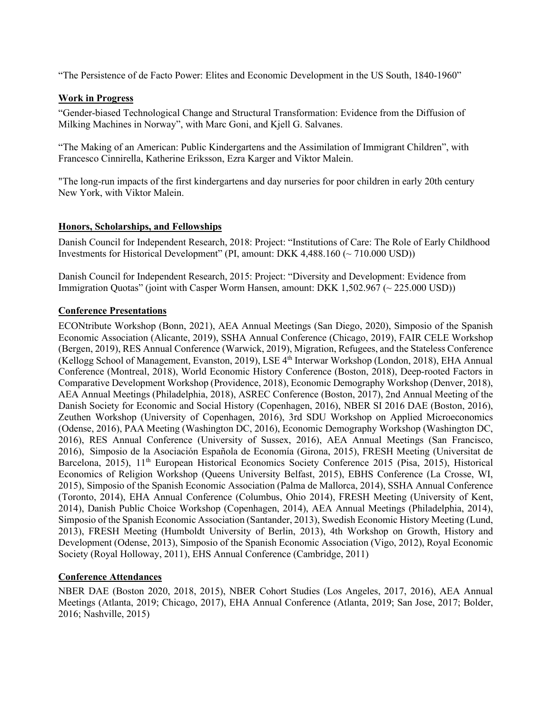"The Persistence of de Facto Power: Elites and Economic Development in the US South, 1840-1960"

## **Work in Progress**

"Gender-biased Technological Change and Structural Transformation: Evidence from the Diffusion of Milking Machines in Norway", with Marc Goni, and Kjell G. Salvanes.

"The Making of an American: Public Kindergartens and the Assimilation of Immigrant Children", with Francesco Cinnirella, Katherine Eriksson, Ezra Karger and Viktor Malein.

"The long-run impacts of the first kindergartens and day nurseries for poor children in early 20th century New York, with Viktor Malein.

#### **Honors, Scholarships, and Fellowships**

Danish Council for Independent Research, 2018: Project: ["Institutions of Care: The Role of Early Childhood](https://dff.dk/forskningsprojekter/database?SearchableText=Institutions+of+Care%3A+The+Role+of+Early+Childhood+Investments+for+Historical+Development)  [Investments for Historical Development"](https://dff.dk/forskningsprojekter/database?SearchableText=Institutions+of+Care%3A+The+Role+of+Early+Childhood+Investments+for+Historical+Development) (PI, amount: DKK 4,488.160 (~ 710.000 USD))

Danish Council for Independent Research, 2015: Project: "Diversity and Development: Evidence from Immigration Quotas" (joint with Casper Worm Hansen, amount: DKK 1,502.967 (~ 225.000 USD))

## **Conference Presentations**

ECONtribute Workshop (Bonn, 2021), AEA Annual Meetings (San Diego, 2020), Simposio of the Spanish Economic Association (Alicante, 2019), SSHA Annual Conference (Chicago, 2019), FAIR CELE Workshop (Bergen, 2019), RES Annual Conference (Warwick, 2019), Migration, Refugees, and the Stateless Conference (Kellogg School of Management, Evanston, 2019), LSE 4<sup>th</sup> Interwar Workshop (London, 2018), EHA Annual Conference (Montreal, 2018), World Economic History Conference (Boston, 2018), Deep-rooted Factors in Comparative Development Workshop (Providence, 2018), Economic Demography Workshop (Denver, 2018), AEA Annual Meetings (Philadelphia, 2018), ASREC Conference (Boston, 2017), 2nd Annual Meeting of the Danish Society for Economic and Social History (Copenhagen, 2016), NBER SI 2016 DAE (Boston, 2016), Zeuthen Workshop (University of Copenhagen, 2016), 3rd SDU Workshop on Applied Microeconomics (Odense, 2016), PAA Meeting (Washington DC, 2016), Economic Demography Workshop (Washington DC, 2016), RES Annual Conference (University of Sussex, 2016), AEA Annual Meetings (San Francisco, 2016), Simposio de la Asociación Española de Economía (Girona, 2015), FRESH Meeting (Universitat de Barcelona, 2015), 11<sup>th</sup> European Historical Economics Society Conference 2015 (Pisa, 2015), Historical Economics of Religion Workshop (Queens University Belfast, 2015), EBHS Conference (La Crosse, WI, 2015), Simposio of the Spanish Economic Association (Palma de Mallorca, 2014), SSHA Annual Conference (Toronto, 2014), EHA Annual Conference (Columbus, Ohio 2014), FRESH Meeting (University of Kent, 2014), Danish Public Choice Workshop (Copenhagen, 2014), AEA Annual Meetings (Philadelphia, 2014), Simposio of the Spanish Economic Association (Santander, 2013), Swedish Economic History Meeting (Lund, 2013), FRESH Meeting (Humboldt University of Berlin, 2013), 4th Workshop on Growth, History and Development (Odense, 2013), Simposio of the Spanish Economic Association (Vigo, 2012), Royal Economic Society (Royal Holloway, 2011), EHS Annual Conference (Cambridge, 2011)

# **Conference Attendances**

NBER DAE (Boston 2020, 2018, 2015), NBER Cohort Studies (Los Angeles, 2017, 2016), AEA Annual Meetings (Atlanta, 2019; Chicago, 2017), EHA Annual Conference (Atlanta, 2019; San Jose, 2017; Bolder, 2016; Nashville, 2015)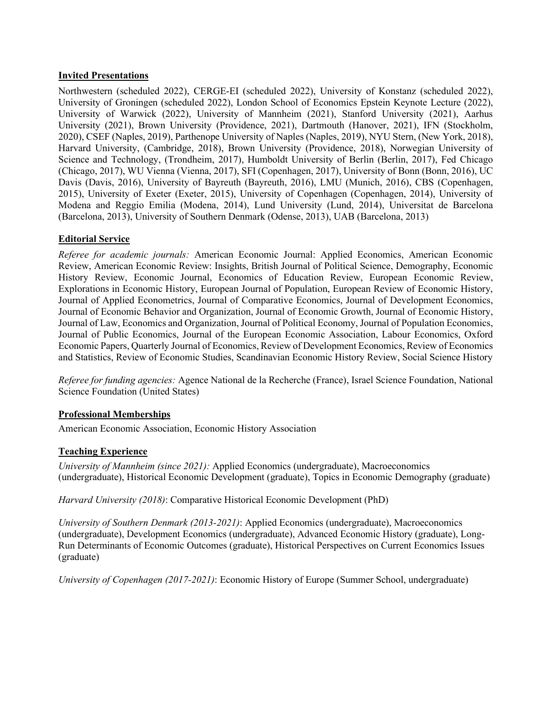## **Invited Presentations**

Northwestern (scheduled 2022), CERGE-EI (scheduled 2022), University of Konstanz (scheduled 2022), University of Groningen (scheduled 2022), London School of Economics Epstein Keynote Lecture (2022), University of Warwick (2022), University of Mannheim (2021), Stanford University (2021), Aarhus University (2021), Brown University (Providence, 2021), Dartmouth (Hanover, 2021), IFN (Stockholm, 2020), CSEF (Naples, 2019), Parthenope University of Naples (Naples, 2019), NYU Stern, (New York, 2018), Harvard University, (Cambridge, 2018), Brown University (Providence, 2018), Norwegian University of Science and Technology, (Trondheim, 2017), Humboldt University of Berlin (Berlin, 2017), Fed Chicago (Chicago, 2017), WU Vienna (Vienna, 2017), SFI (Copenhagen, 2017), University of Bonn (Bonn, 2016), UC Davis (Davis, 2016), University of Bayreuth (Bayreuth, 2016), LMU (Munich, 2016), CBS (Copenhagen, 2015), University of Exeter (Exeter, 2015), University of Copenhagen (Copenhagen, 2014), University of Modena and Reggio Emilia (Modena, 2014), Lund University (Lund, 2014), Universitat de Barcelona (Barcelona, 2013), University of Southern Denmark (Odense, 2013), UAB (Barcelona, 2013)

# **Editorial Service**

*Referee for academic journals:* American Economic Journal: Applied Economics, American Economic Review, American Economic Review: Insights, British Journal of Political Science, Demography, Economic History Review, Economic Journal, Economics of Education Review, European Economic Review, Explorations in Economic History, European Journal of Population, European Review of Economic History, Journal of Applied Econometrics, Journal of Comparative Economics, Journal of Development Economics, Journal of Economic Behavior and Organization, Journal of Economic Growth, Journal of Economic History, Journal of Law, Economics and Organization, Journal of Political Economy, Journal of Population Economics, Journal of Public Economics, Journal of the European Economic Association, Labour Economics, Oxford Economic Papers, Quarterly Journal of Economics, Review of Development Economics, Review of Economics and Statistics, Review of Economic Studies, Scandinavian Economic History Review, Social Science History

*Referee for funding agencies:* Agence National de la Recherche (France), Israel Science Foundation, National Science Foundation (United States)

#### **Professional Memberships**

American Economic Association, Economic History Association

# **Teaching Experience**

*University of Mannheim (since 2021):* Applied Economics (undergraduate), Macroeconomics (undergraduate), Historical Economic Development (graduate), Topics in Economic Demography (graduate)

*Harvard University (2018)*: Comparative Historical Economic Development (PhD)

*University of Southern Denmark (2013-2021)*: Applied Economics (undergraduate), Macroeconomics (undergraduate), Development Economics (undergraduate), Advanced Economic History (graduate), Long-Run Determinants of Economic Outcomes (graduate), Historical Perspectives on Current Economics Issues (graduate)

*University of Copenhagen (2017-2021)*: Economic History of Europe (Summer School, undergraduate)